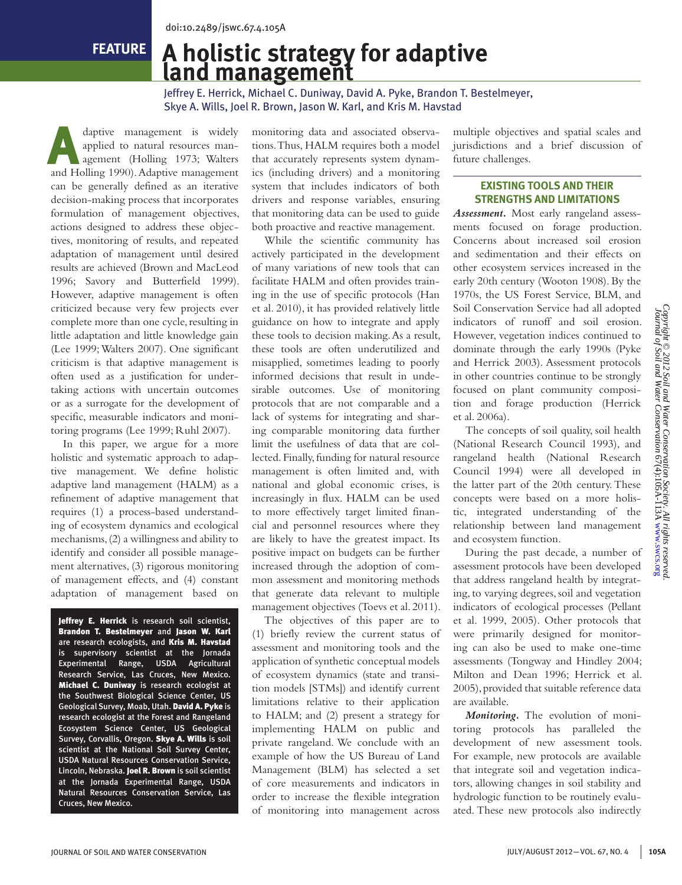**FEATURE**

# **A holistic strategy for adaptive land management**

Jeffrey E. Herrick, Michael C. Duniway, David A. Pyke, Brandon T. Bestelmeyer, Skye A. Wills, Joel R. Brown, Jason W. Karl, and Kris M. Havstad

daptive management is widely<br>applied to natural resources man-<br>agement (Holling 1973; Walters applied to natural resources management (Holling 1973; Walters and Holling 1990). Adaptive management can be generally defined as an iterative decision-making process that incorporates formulation of management objectives, actions designed to address these objectives, monitoring of results, and repeated adaptation of management until desired results are achieved (Brown and MacLeod 1996; Savory and Butterfield 1999). However, adaptive management is often criticized because very few projects ever complete more than one cycle, resulting in little adaptation and little knowledge gain (Lee 1999; Walters 2007). One significant criticism is that adaptive management is often used as a justification for undertaking actions with uncertain outcomes or as a surrogate for the development of specific, measurable indicators and monitoring programs (Lee 1999; Ruhl 2007).

In this paper, we argue for a more holistic and systematic approach to adaptive management. We define holistic adaptive land management (HALM) as a refinement of adaptive management that requires (1) a process-based understanding of ecosystem dynamics and ecological mechanisms, (2) a willingness and ability to identify and consider all possible management alternatives, (3) rigorous monitoring of management effects, and (4) constant adaptation of management based on

Jeffrey E. Herrick is research soil scientist, Brandon T. Bestelmeyer and Jason W. Karl are research ecologists, and Kris M. Havstad is supervisory scientist at the Jornada Experimental Range, USDA Agricultural Research Service, Las Cruces, New Mexico. Michael C. Duniway is research ecologist at the Southwest Biological Science Center, US Geological Survey, Moab, Utah. David A. Pyke is research ecologist at the Forest and Rangeland Ecosystem Science Center, US Geological Survey, Corvallis, Oregon. Skye A. Wills is soil scientist at the National Soil Survey Center, USDA Natural Resources Conservation Service, Lincoln, Nebraska. Joel R. Brown is soil scientist at the Jornada Experimental Range, USDA Natural Resources Conservation Service, Las Cruces, New Mexico.

monitoring data and associated observations. Thus, HALM requires both a model that accurately represents system dynamics (including drivers) and a monitoring system that includes indicators of both drivers and response variables, ensuring that monitoring data can be used to guide both proactive and reactive management.

While the scientific community has actively participated in the development of many variations of new tools that can facilitate HALM and often provides training in the use of specific protocols (Han et al. 2010), it has provided relatively little guidance on how to integrate and apply these tools to decision making. As a result, these tools are often underutilized and misapplied, sometimes leading to poorly informed decisions that result in undesirable outcomes. Use of monitoring protocols that are not comparable and a lack of systems for integrating and sharing comparable monitoring data further limit the usefulness of data that are collected. Finally, funding for natural resource management is often limited and, with national and global economic crises, is increasingly in flux. HALM can be used to more effectively target limited financial and personnel resources where they are likely to have the greatest impact. Its positive impact on budgets can be further increased through the adoption of common assessment and monitoring methods that generate data relevant to multiple management objectives (Toevs et al. 2011).

The objectives of this paper are to (1) briefly review the current status of assessment and monitoring tools and the application of synthetic conceptual models of ecosystem dynamics (state and transition models [STMs]) and identify current limitations relative to their application to HALM; and (2) present a strategy for implementing HALM on public and private rangeland. We conclude with an example of how the US Bureau of Land Management (BLM) has selected a set of core measurements and indicators in order to increase the flexible integration of monitoring into management across

multiple objectives and spatial scales and jurisdictions and a brief discussion of future challenges.

## **EXISTING TOOLS AND THEIR STRENGTHS AND LIMITATIONS**

*Assessment.* Most early rangeland assessments focused on forage production. Concerns about increased soil erosion and sedimentation and their effects on other ecosystem services increased in the early 20th century (Wooton 1908). By the 1970s, the US Forest Service, BLM, and Soil Conservation Service had all adopted indicators of runoff and soil erosion. However, vegetation indices continued to dominate through the early 1990s (Pyke and Herrick 2003). Assessment protocols in other countries continue to be strongly focused on plant community composition and forage production (Herrick et al. 2006a).

The concepts of soil quality, soil health (National Research Council 1993), and rangeland health (National Research Council 1994) were all developed in the latter part of the 20th century. These concepts were based on a more holistic, integrated understanding of the relationship between land management and ecosystem function.

During the past decade, a number of assessment protocols have been developed that address rangeland health by integrating, to varying degrees, soil and vegetation indicators of ecological processes (Pellant et al. 1999, 2005). Other protocols that were primarily designed for monitoring can also be used to make one-time assessments (Tongway and Hindley 2004; Milton and Dean 1996; Herrick et al. 2005), provided that suitable reference data are available.

*Monitoring.* The evolution of monitoring protocols has paralleled the development of new assessment tools. For example, new protocols are available that integrate soil and vegetation indicators, allowing changes in soil stability and hydrologic function to be routinely evaluated. These new protocols also indirectly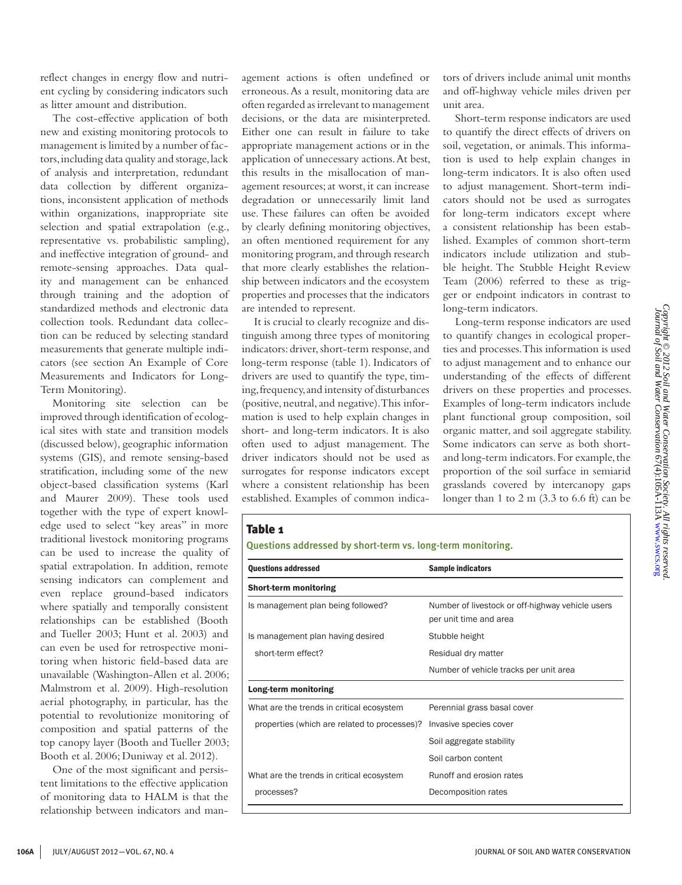reflect changes in energy flow and nutrient cycling by considering indicators such as litter amount and distribution.

The cost-effective application of both new and existing monitoring protocols to management is limited by a number of factors, including data quality and storage, lack of analysis and interpretation, redundant data collection by different organizations, inconsistent application of methods within organizations, inappropriate site selection and spatial extrapolation (e.g., representative vs. probabilistic sampling), and ineffective integration of ground- and remote-sensing approaches. Data quality and management can be enhanced through training and the adoption of standardized methods and electronic data collection tools. Redundant data collection can be reduced by selecting standard measurements that generate multiple indicators (see section An Example of Core Measurements and Indicators for Long-Term Monitoring).

Monitoring site selection can be improved through identification of ecological sites with state and transition models (discussed below), geographic information systems (GIS), and remote sensing-based stratification, including some of the new object-based classification systems (Karl and Maurer 2009). These tools used together with the type of expert knowledge used to select "key areas" in more traditional livestock monitoring programs can be used to increase the quality of spatial extrapolation. In addition, remote sensing indicators can complement and even replace ground-based indicators where spatially and temporally consistent relationships can be established (Booth and Tueller 2003; Hunt et al. 2003) and can even be used for retrospective monitoring when historic field-based data are unavailable (Washington-Allen et al. 2006; Malmstrom et al. 2009). High-resolution aerial photography, in particular, has the potential to revolutionize monitoring of composition and spatial patterns of the top canopy layer (Booth and Tueller 2003; Booth et al. 2006; Duniway et al. 2012).

One of the most significant and persistent limitations to the effective application of monitoring data to HALM is that the relationship between indicators and management actions is often undefined or erroneous. As a result, monitoring data are often regarded as irrelevant to management decisions, or the data are misinterpreted. Either one can result in failure to take appropriate management actions or in the application of unnecessary actions. At best, this results in the misallocation of management resources; at worst, it can increase degradation or unnecessarily limit land use. These failures can often be avoided by clearly defining monitoring objectives, an often mentioned requirement for any monitoring program, and through research that more clearly establishes the relationship between indicators and the ecosystem properties and processes that the indicators are intended to represent.

It is crucial to clearly recognize and distinguish among three types of monitoring indicators: driver, short-term response, and long-term response (table 1). Indicators of drivers are used to quantify the type, timing, frequency, and intensity of disturbances (positive, neutral, and negative). This information is used to help explain changes in short- and long-term indicators. It is also often used to adjust management. The driver indicators should not be used as surrogates for response indicators except where a consistent relationship has been established. Examples of common indicators of drivers include animal unit months and off-highway vehicle miles driven per unit area.

Short-term response indicators are used to quantify the direct effects of drivers on soil, vegetation, or animals. This information is used to help explain changes in long-term indicators. It is also often used to adjust management. Short-term indicators should not be used as surrogates for long-term indicators except where a consistent relationship has been established. Examples of common short-term indicators include utilization and stubble height. The Stubble Height Review Team (2006) referred to these as trigger or endpoint indicators in contrast to long-term indicators.

Long-term response indicators are used to quantify changes in ecological properties and processes. This information is used to adjust management and to enhance our understanding of the effects of different drivers on these properties and processes. Examples of long-term indicators include plant functional group composition, soil organic matter, and soil aggregate stability. Some indicators can serve as both shortand long-term indicators. For example, the proportion of the soil surface in semiarid grasslands covered by intercanopy gaps longer than 1 to 2 m (3.3 to 6.6 ft) can be

# Table 1

Questions addressed by short-term vs. long-term monitoring.

| <b>Questions addressed</b>                   | <b>Sample indicators</b>                                                   |  |
|----------------------------------------------|----------------------------------------------------------------------------|--|
| <b>Short-term monitoring</b>                 |                                                                            |  |
| Is management plan being followed?           | Number of livestock or off-highway vehicle users<br>per unit time and area |  |
| Is management plan having desired            | Stubble height                                                             |  |
| short-term effect?                           | Residual dry matter                                                        |  |
|                                              | Number of vehicle tracks per unit area                                     |  |
| Long-term monitoring                         |                                                                            |  |
| What are the trends in critical ecosystem    | Perennial grass basal cover                                                |  |
| properties (which are related to processes)? | Invasive species cover                                                     |  |
|                                              | Soil aggregate stability                                                   |  |
|                                              | Soil carbon content                                                        |  |
| What are the trends in critical ecosystem    | Runoff and erosion rates                                                   |  |
| processes?                                   | Decomposition rates                                                        |  |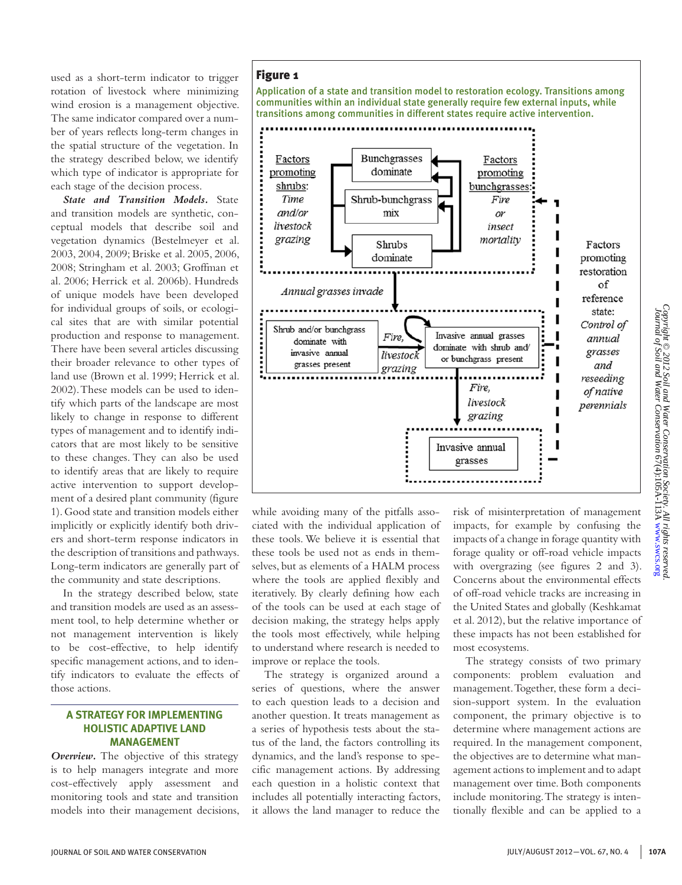used as a short-term indicator to trigger rotation of livestock where minimizing wind erosion is a management objective. The same indicator compared over a number of years reflects long-term changes in the spatial structure of the vegetation. In the strategy described below, we identify which type of indicator is appropriate for each stage of the decision process.

*State and Transition Models.* State and transition models are synthetic, conceptual models that describe soil and vegetation dynamics (Bestelmeyer et al. 2003, 2004, 2009; Briske et al. 2005, 2006, 2008; Stringham et al. 2003; Groffman et al. 2006; Herrick et al. 2006b). Hundreds of unique models have been developed for individual groups of soils, or ecological sites that are with similar potential production and response to management. There have been several articles discussing their broader relevance to other types of land use (Brown et al. 1999; Herrick et al. 2002). These models can be used to identify which parts of the landscape are most likely to change in response to different types of management and to identify indicators that are most likely to be sensitive to these changes. They can also be used to identify areas that are likely to require active intervention to support development of a desired plant community (figure 1). Good state and transition models either implicitly or explicitly identify both drivers and short-term response indicators in the description of transitions and pathways. Long-term indicators are generally part of the community and state descriptions.

In the strategy described below, state and transition models are used as an assessment tool, to help determine whether or not management intervention is likely to be cost-effective, to help identify specific management actions, and to identify indicators to evaluate the effects of those actions.

## **A STRATEGY FOR IMPLEMENTING HOLISTIC ADAPTIVE LAND MANAGEMENT**

**Overview**. The objective of this strategy is to help managers integrate and more cost-effectively apply assessment and monitoring tools and state and transition models into their management decisions,

#### Figure 1





while avoiding many of the pitfalls associated with the individual application of these tools. We believe it is essential that these tools be used not as ends in themselves, but as elements of a HALM process where the tools are applied flexibly and iteratively. By clearly defining how each of the tools can be used at each stage of decision making, the strategy helps apply the tools most effectively, while helping to understand where research is needed to improve or replace the tools.

The strategy is organized around a series of questions, where the answer to each question leads to a decision and another question. It treats management as a series of hypothesis tests about the status of the land, the factors controlling its dynamics, and the land's response to specific management actions. By addressing each question in a holistic context that includes all potentially interacting factors, it allows the land manager to reduce the risk of misinterpretation of management impacts, for example by confusing the impacts of a change in forage quantity with forage quality or off-road vehicle impacts with overgrazing (see figures 2 and 3). Concerns about the environmental effects of off-road vehicle tracks are increasing in the United States and globally (Keshkamat et al. 2012), but the relative importance of these impacts has not been established for most ecosystems.

The strategy consists of two primary components: problem evaluation and management. Together, these form a decision-support system. In the evaluation component, the primary objective is to determine where management actions are required. In the management component, the objectives are to determine what management actions to implement and to adapt management over time. Both components include monitoring. The strategy is intentionally flexible and can be applied to a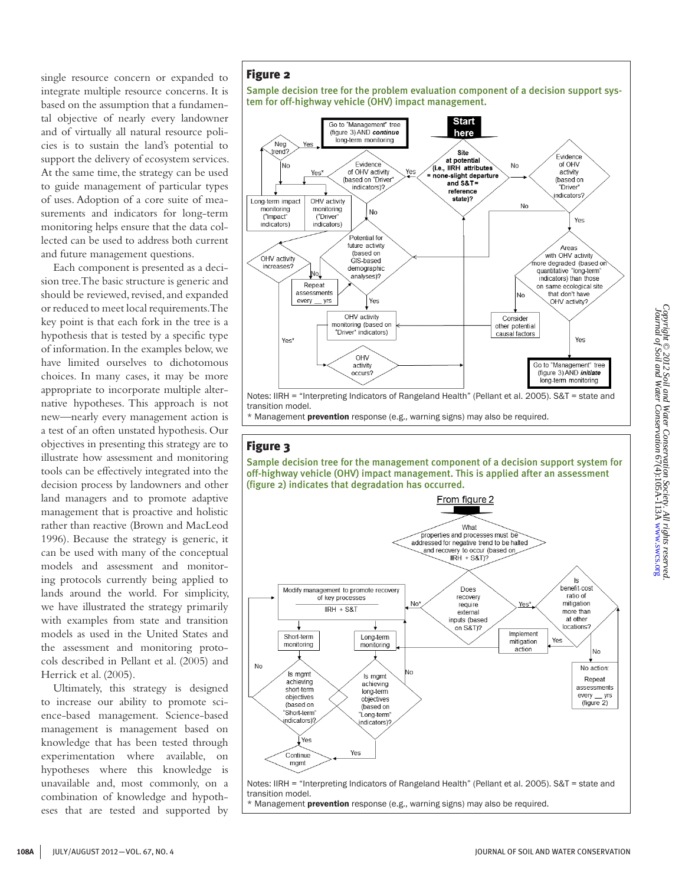single resource concern or expanded to integrate multiple resource concerns. It is based on the assumption that a fundamental objective of nearly every landowner and of virtually all natural resource policies is to sustain the land's potential to support the delivery of ecosystem services. At the same time, the strategy can be used to guide management of particular types of uses. Adoption of a core suite of measurements and indicators for long-term monitoring helps ensure that the data collected can be used to address both current and future management questions.

Each component is presented as a decision tree. The basic structure is generic and should be reviewed, revised, and expanded or reduced to meet local requirements. The key point is that each fork in the tree is a hypothesis that is tested by a specific type of information. In the examples below, we have limited ourselves to dichotomous choices. In many cases, it may be more appropriate to incorporate multiple alternative hypotheses. This approach is not new—nearly every management action is a test of an often unstated hypothesis. Our objectives in presenting this strategy are to illustrate how assessment and monitoring tools can be effectively integrated into the decision process by landowners and other land managers and to promote adaptive management that is proactive and holistic rather than reactive (Brown and MacLeod 1996). Because the strategy is generic, it can be used with many of the conceptual models and assessment and monitoring protocols currently being applied to lands around the world. For simplicity, we have illustrated the strategy primarily with examples from state and transition models as used in the United States and the assessment and monitoring protocols described in Pellant et al. (2005) and Herrick et al. (2005).

Ultimately, this strategy is designed to increase our ability to promote science-based management. Science-based management is management based on knowledge that has been tested through experimentation where available, on hypotheses where this knowledge is unavailable and, most commonly, on a combination of knowledge and hypotheses that are tested and supported by

## Figure 2

Sample decision tree for the problem evaluation component of a decision support system for off-highway vehicle (OHV) impact management.



\* Management prevention response (e.g., warning signs) may also be required.

## Figure 3

Sample decision tree for the management component of a decision support system for off-highway vehicle (OHV) impact management. This is applied after an assessment (figure 2) indicates that degradation has occurred.

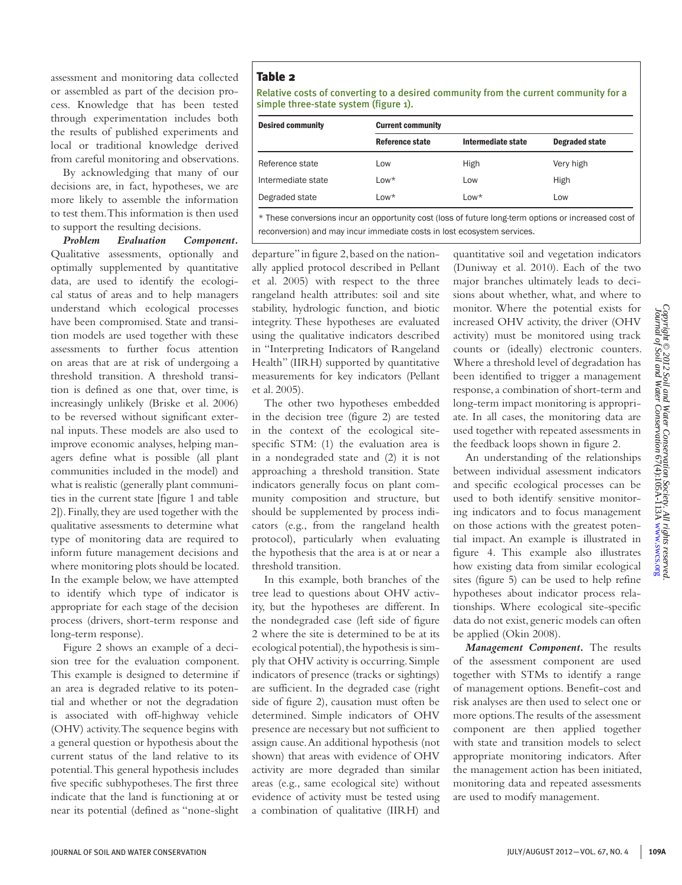assessment and monitoring data collected or assembled as part of the decision process. Knowledge that has been tested through experimentation includes both the results of published experiments and local or traditional knowledge derived from careful monitoring and observations.

By acknowledging that many of our decisions are, in fact, hypotheses, we are more likely to assemble the information to test them. This information is then used to support the resulting decisions.

*Problem Evaluation Component.*  Qualitative assessments, optionally and optimally supplemented by quantitative data, are used to identify the ecological status of areas and to help managers understand which ecological processes have been compromised. State and transition models are used together with these assessments to further focus attention on areas that are at risk of undergoing a threshold transition. A threshold transition is defined as one that, over time, is increasingly unlikely (Briske et al. 2006) to be reversed without significant external inputs. These models are also used to improve economic analyses, helping managers define what is possible (all plant communities included in the model) and what is realistic (generally plant communities in the current state [figure 1 and table 2]). Finally, they are used together with the qualitative assessments to determine what type of monitoring data are required to inform future management decisions and where monitoring plots should be located. In the example below, we have attempted to identify which type of indicator is appropriate for each stage of the decision process (drivers, short-term response and long-term response).

Figure 2 shows an example of a decision tree for the evaluation component. This example is designed to determine if an area is degraded relative to its potential and whether or not the degradation is associated with off-highway vehicle (OHV) activity. The sequence begins with a general question or hypothesis about the current status of the land relative to its potential. This general hypothesis includes five specific subhypotheses. The first three indicate that the land is functioning at or near its potential (defined as "none-slight

## Table 2

Relative costs of converting to a desired community from the current community for a simple three-state system (figure 1).

| <b>Desired community</b> | <b>Current community</b> |                    |                |
|--------------------------|--------------------------|--------------------|----------------|
|                          | Reference state          | Intermediate state | Degraded state |
| Reference state          | Low                      | High               | Very high      |
| Intermediate state       | $Low*$                   | Low                | High           |
| Degraded state           | Low*                     | $Low*$             | Low            |

\* These conversions incur an opportunity cost (loss of future long-term options or increased cost of reconversion) and may incur immediate costs in lost ecosystem services.

departure" in figure 2, based on the nationally applied protocol described in Pellant et al. 2005) with respect to the three rangeland health attributes: soil and site stability, hydrologic function, and biotic integrity. These hypotheses are evaluated using the qualitative indicators described in "Interpreting Indicators of Rangeland Health" (IIRH) supported by quantitative measurements for key indicators (Pellant et al. 2005).

The other two hypotheses embedded in the decision tree (figure 2) are tested in the context of the ecological sitespecific STM: (1) the evaluation area is in a nondegraded state and (2) it is not approaching a threshold transition. State indicators generally focus on plant community composition and structure, but should be supplemented by process indicators (e.g., from the rangeland health protocol), particularly when evaluating the hypothesis that the area is at or near a threshold transition.

In this example, both branches of the tree lead to questions about OHV activity, but the hypotheses are different. In the nondegraded case (left side of figure 2 where the site is determined to be at its ecological potential), the hypothesis is simply that OHV activity is occurring. Simple indicators of presence (tracks or sightings) are sufficient. In the degraded case (right side of figure 2), causation must often be determined. Simple indicators of OHV presence are necessary but not sufficient to assign cause. An additional hypothesis (not shown) that areas with evidence of OHV activity are more degraded than similar areas (e.g., same ecological site) without evidence of activity must be tested using a combination of qualitative (IIRH) and

quantitative soil and vegetation indicators (Duniway et al. 2010). Each of the two major branches ultimately leads to decisions about whether, what, and where to monitor. Where the potential exists for increased OHV activity, the driver (OHV activity) must be monitored using track counts or (ideally) electronic counters. Where a threshold level of degradation has been identified to trigger a management response, a combination of short-term and long-term impact monitoring is appropriate. In all cases, the monitoring data are used together with repeated assessments in the feedback loops shown in figure 2.

An understanding of the relationships between individual assessment indicators and specific ecological processes can be used to both identify sensitive monitoring indicators and to focus management on those actions with the greatest potential impact. An example is illustrated in figure 4. This example also illustrates how existing data from similar ecological sites (figure 5) can be used to help refine hypotheses about indicator process relationships. Where ecological site-specific data do not exist, generic models can often be applied (Okin 2008).

*Management Component.* The results of the assessment component are used together with STMs to identify a range of management options. Benefit-cost and risk analyses are then used to select one or more options. The results of the assessment component are then applied together with state and transition models to select appropriate monitoring indicators. After the management action has been initiated, monitoring data and repeated assessments are used to modify management.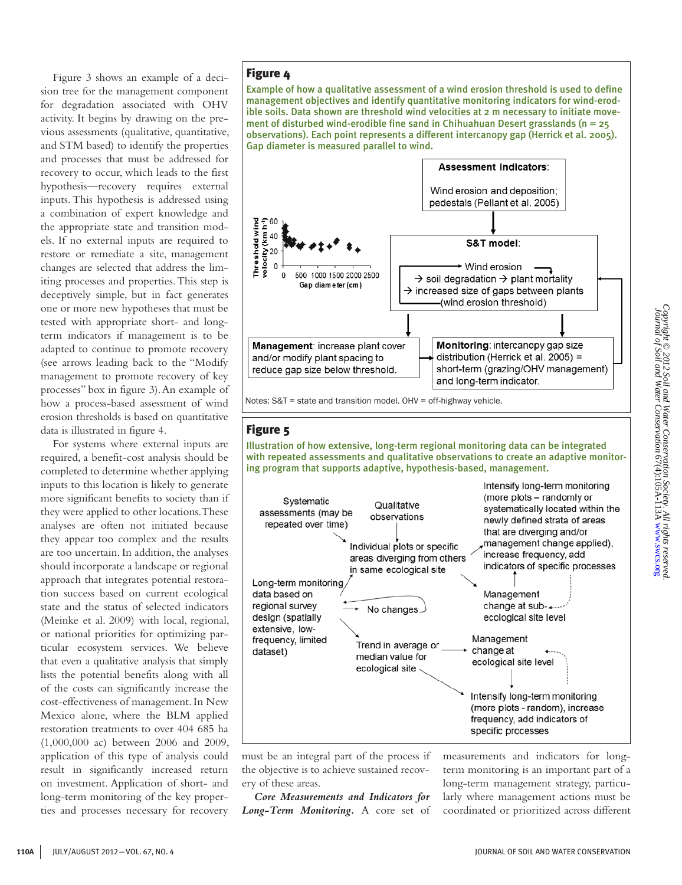Figure 3 shows an example of a decision tree for the management component for degradation associated with OHV activity. It begins by drawing on the previous assessments (qualitative, quantitative, and STM based) to identify the properties and processes that must be addressed for recovery to occur, which leads to the first hypothesis—recovery requires external inputs. This hypothesis is addressed using a combination of expert knowledge and the appropriate state and transition models. If no external inputs are required to restore or remediate a site, management changes are selected that address the limiting processes and properties. This step is deceptively simple, but in fact generates one or more new hypotheses that must be tested with appropriate short- and longterm indicators if management is to be adapted to continue to promote recovery (see arrows leading back to the "Modify management to promote recovery of key processes" box in figure 3). An example of how a process-based assessment of wind erosion thresholds is based on quantitative data is illustrated in figure 4.

For systems where external inputs are required, a benefit-cost analysis should be completed to determine whether applying inputs to this location is likely to generate more significant benefits to society than if they were applied to other locations. These analyses are often not initiated because they appear too complex and the results are too uncertain. In addition, the analyses should incorporate a landscape or regional approach that integrates potential restoration success based on current ecological state and the status of selected indicators (Meinke et al. 2009) with local, regional, or national priorities for optimizing particular ecosystem services. We believe that even a qualitative analysis that simply lists the potential benefits along with all of the costs can significantly increase the cost-effectiveness of management. In New Mexico alone, where the BLM applied restoration treatments to over 404 685 ha (1,000,000 ac) between 2006 and 2009, application of this type of analysis could result in significantly increased return on investment. Application of short- and long-term monitoring of the key properties and processes necessary for recovery

# Figure 4

Example of how a qualitative assessment of a wind erosion threshold is used to define management objectives and identify quantitative monitoring indicators for wind-erodible soils. Data shown are threshold wind velocities at 2 m necessary to initiate movement of disturbed wind-erodible fine sand in Chihuahuan Desert grasslands ( $n = 25$ ) observations). Each point represents a different intercanopy gap (Herrick et al. 2005). Gap diameter is measured parallel to wind.



Notes: S&T = state and transition model. OHV = off-highway vehicle.

# Figure 5

Illustration of how extensive, long-term regional monitoring data can be integrated with repeated assessments and qualitative observations to create an adaptive monitoring program that supports adaptive, hypothesis-based, management.



must be an integral part of the process if the objective is to achieve sustained recovery of these areas.

*Core Measurements and Indicators for Long-Term Monitoring.* A core set of measurements and indicators for longterm monitoring is an important part of a long-term management strategy, particularly where management actions must be coordinated or prioritized across different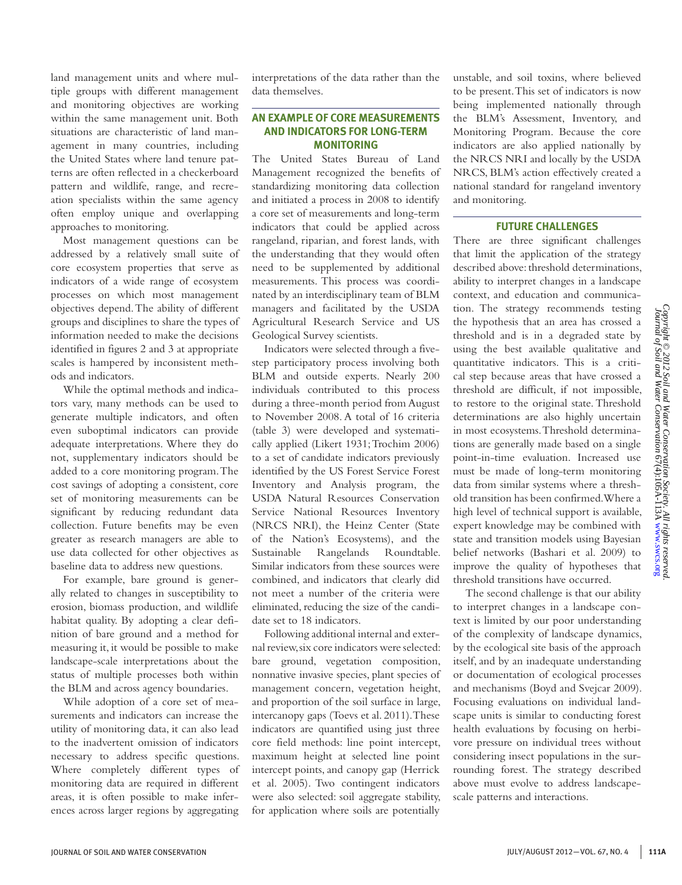land management units and where multiple groups with different management and monitoring objectives are working within the same management unit. Both situations are characteristic of land management in many countries, including the United States where land tenure patterns are often reflected in a checkerboard pattern and wildlife, range, and recreation specialists within the same agency often employ unique and overlapping approaches to monitoring.

Most management questions can be addressed by a relatively small suite of core ecosystem properties that serve as indicators of a wide range of ecosystem processes on which most management objectives depend. The ability of different groups and disciplines to share the types of information needed to make the decisions identified in figures 2 and 3 at appropriate scales is hampered by inconsistent methods and indicators.

While the optimal methods and indicators vary, many methods can be used to generate multiple indicators, and often even suboptimal indicators can provide adequate interpretations. Where they do not, supplementary indicators should be added to a core monitoring program. The cost savings of adopting a consistent, core set of monitoring measurements can be significant by reducing redundant data collection. Future benefits may be even greater as research managers are able to use data collected for other objectives as baseline data to address new questions.

For example, bare ground is generally related to changes in susceptibility to erosion, biomass production, and wildlife habitat quality. By adopting a clear definition of bare ground and a method for measuring it, it would be possible to make landscape-scale interpretations about the status of multiple processes both within the BLM and across agency boundaries.

While adoption of a core set of measurements and indicators can increase the utility of monitoring data, it can also lead to the inadvertent omission of indicators necessary to address specific questions. Where completely different types of monitoring data are required in different areas, it is often possible to make inferences across larger regions by aggregating interpretations of the data rather than the data themselves.

### **AN EXAMPLE OF CORE MEASUREMENTS AND INDICATORS FOR LONG-TERM MONITORING**

The United States Bureau of Land Management recognized the benefits of standardizing monitoring data collection and initiated a process in 2008 to identify a core set of measurements and long-term indicators that could be applied across rangeland, riparian, and forest lands, with the understanding that they would often need to be supplemented by additional measurements. This process was coordinated by an interdisciplinary team of BLM managers and facilitated by the USDA Agricultural Research Service and US Geological Survey scientists.

Indicators were selected through a fivestep participatory process involving both BLM and outside experts. Nearly 200 individuals contributed to this process during a three-month period from August to November 2008. A total of 16 criteria (table 3) were developed and systematically applied (Likert 1931; Trochim 2006) to a set of candidate indicators previously identified by the US Forest Service Forest Inventory and Analysis program, the USDA Natural Resources Conservation Service National Resources Inventory (NRCS NRI), the Heinz Center (State of the Nation's Ecosystems), and the Sustainable Rangelands Roundtable. Similar indicators from these sources were combined, and indicators that clearly did not meet a number of the criteria were eliminated, reducing the size of the candidate set to 18 indicators.

Following additional internal and external review, six core indicators were selected: bare ground, vegetation composition, nonnative invasive species, plant species of management concern, vegetation height, and proportion of the soil surface in large, intercanopy gaps (Toevs et al. 2011). These indicators are quantified using just three core field methods: line point intercept, maximum height at selected line point intercept points, and canopy gap (Herrick et al. 2005). Two contingent indicators were also selected: soil aggregate stability, for application where soils are potentially

unstable, and soil toxins, where believed to be present. This set of indicators is now being implemented nationally through the BLM's Assessment, Inventory, and Monitoring Program. Because the core indicators are also applied nationally by the NRCS NRI and locally by the USDA NRCS, BLM's action effectively created a national standard for rangeland inventory and monitoring.

### **FUTURE CHALLENGES**

There are three significant challenges that limit the application of the strategy described above: threshold determinations, ability to interpret changes in a landscape context, and education and communication. The strategy recommends testing the hypothesis that an area has crossed a threshold and is in a degraded state by using the best available qualitative and quantitative indicators. This is a critical step because areas that have crossed a threshold are difficult, if not impossible, to restore to the original state. Threshold determinations are also highly uncertain in most ecosystems. Threshold determinations are generally made based on a single point-in-time evaluation. Increased use must be made of long-term monitoring data from similar systems where a threshold transition has been confirmed. Where a high level of technical support is available, expert knowledge may be combined with state and transition models using Bayesian belief networks (Bashari et al. 2009) to improve the quality of hypotheses that threshold transitions have occurred.

The second challenge is that our ability to interpret changes in a landscape context is limited by our poor understanding of the complexity of landscape dynamics, by the ecological site basis of the approach itself, and by an inadequate understanding or documentation of ecological processes and mechanisms (Boyd and Svejcar 2009). Focusing evaluations on individual landscape units is similar to conducting forest health evaluations by focusing on herbivore pressure on individual trees without considering insect populations in the surrounding forest. The strategy described above must evolve to address landscapescale patterns and interactions.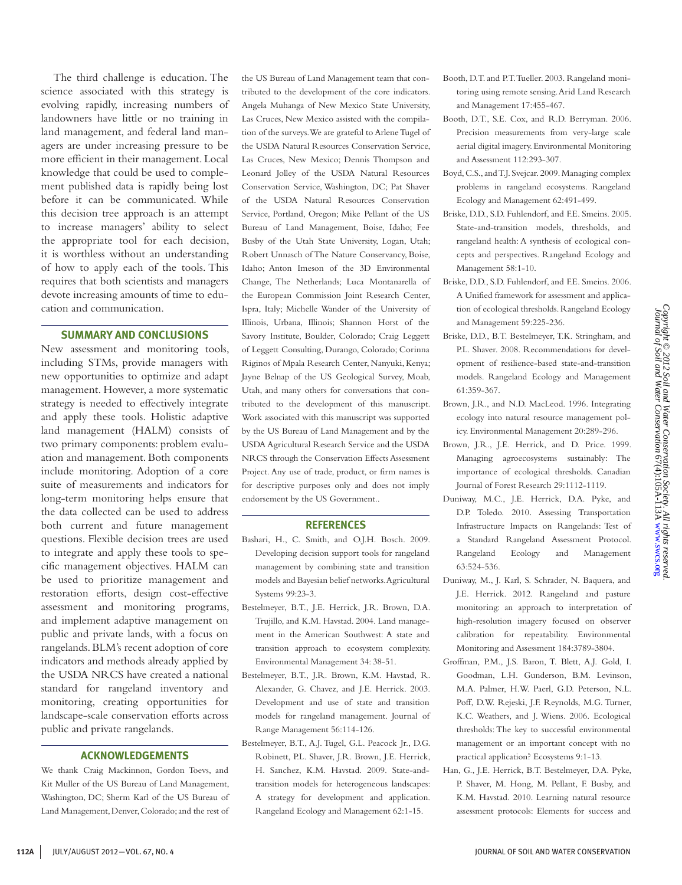The third challenge is education. The science associated with this strategy is evolving rapidly, increasing numbers of landowners have little or no training in land management, and federal land managers are under increasing pressure to be more efficient in their management. Local knowledge that could be used to complement published data is rapidly being lost before it can be communicated. While this decision tree approach is an attempt to increase managers' ability to select the appropriate tool for each decision, it is worthless without an understanding of how to apply each of the tools. This requires that both scientists and managers devote increasing amounts of time to education and communication.

#### **SUMMARY AND CONCLUSIONS**

New assessment and monitoring tools, including STMs, provide managers with new opportunities to optimize and adapt management. However, a more systematic strategy is needed to effectively integrate and apply these tools. Holistic adaptive land management (HALM) consists of two primary components: problem evaluation and management. Both components include monitoring. Adoption of a core suite of measurements and indicators for long-term monitoring helps ensure that the data collected can be used to address both current and future management questions. Flexible decision trees are used to integrate and apply these tools to specific management objectives. HALM can be used to prioritize management and restoration efforts, design cost-effective assessment and monitoring programs, and implement adaptive management on public and private lands, with a focus on rangelands. BLM's recent adoption of core indicators and methods already applied by the USDA NRCS have created a national standard for rangeland inventory and monitoring, creating opportunities for landscape-scale conservation efforts across public and private rangelands.

#### **ACKNOWLEDGEMENTS**

We thank Craig Mackinnon, Gordon Toevs, and Kit Muller of the US Bureau of Land Management, Washington, DC; Sherm Karl of the US Bureau of Land Management, Denver, Colorado; and the rest of the US Bureau of Land Management team that contributed to the development of the core indicators. Angela Muhanga of New Mexico State University, Las Cruces, New Mexico assisted with the compilation of the surveys. We are grateful to Arlene Tugel of the USDA Natural Resources Conservation Service, Las Cruces, New Mexico; Dennis Thompson and Leonard Jolley of the USDA Natural Resources Conservation Service, Washington, DC; Pat Shaver of the USDA Natural Resources Conservation Service, Portland, Oregon; Mike Pellant of the US Bureau of Land Management, Boise, Idaho; Fee Busby of the Utah State University, Logan, Utah; Robert Unnasch of The Nature Conservancy, Boise, Idaho; Anton Imeson of the 3D Environmental Change, The Netherlands; Luca Montanarella of the European Commission Joint Research Center, Ispra, Italy; Michelle Wander of the University of Illinois, Urbana, Illinois; Shannon Horst of the Savory Institute, Boulder, Colorado; Craig Leggett of Leggett Consulting, Durango, Colorado; Corinna Riginos of Mpala Research Center, Nanyuki, Kenya; Jayne Belnap of the US Geological Survey, Moab, Utah, and many others for conversations that contributed to the development of this manuscript. Work associated with this manuscript was supported by the US Bureau of Land Management and by the USDA Agricultural Research Service and the USDA NRCS through the Conservation Effects Assessment Project. Any use of trade, product, or firm names is for descriptive purposes only and does not imply endorsement by the US Government..

#### **REFERENCES**

- Bashari, H., C. Smith, and O.J.H. Bosch. 2009. Developing decision support tools for rangeland management by combining state and transition models and Bayesian belief networks. Agricultural Systems 99:23-3.
- Bestelmeyer, B.T., J.E. Herrick, J.R. Brown, D.A. Trujillo, and K.M. Havstad. 2004. Land management in the American Southwest: A state and transition approach to ecosystem complexity. Environmental Management 34: 38-51.
- Bestelmeyer, B.T., J.R. Brown, K.M. Havstad, R. Alexander, G. Chavez, and J.E. Herrick. 2003. Development and use of state and transition models for rangeland management. Journal of Range Management 56:114-126.
- Bestelmeyer, B.T., A.J. Tugel, G.L. Peacock Jr., D.G. Robinett, P.L. Shaver, J.R. Brown, J.E. Herrick, H. Sanchez, K.M. Havstad. 2009. State-andtransition models for heterogeneous landscapes: A strategy for development and application. Rangeland Ecology and Management 62:1-15.
- Booth, D.T. and P.T. Tueller. 2003. Rangeland monitoring using remote sensing. Arid Land Research and Management 17:455-467.
- Booth, D.T., S.E. Cox, and R.D. Berryman. 2006. Precision measurements from very-large scale aerial digital imagery. Environmental Monitoring and Assessment 112:293-307.
- Boyd, C.S., and T.J. Svejcar. 2009. Managing complex problems in rangeland ecosystems. Rangeland Ecology and Management 62:491-499.
- Briske, D.D., S.D. Fuhlendorf, and F.E. Smeins. 2005. State-and-transition models, thresholds, and rangeland health: A synthesis of ecological concepts and perspectives. Rangeland Ecology and Management 58:1-10.
- Briske, D.D., S.D. Fuhlendorf, and F.E. Smeins. 2006. A Unified framework for assessment and application of ecological thresholds. Rangeland Ecology and Management 59:225-236.
- Briske, D.D., B.T. Bestelmeyer, T.K. Stringham, and P.L. Shaver. 2008. Recommendations for development of resilience-based state-and-transition models. Rangeland Ecology and Management 61:359-367.
- Brown, J.R., and N.D. MacLeod. 1996. Integrating ecology into natural resource management policy. Environmental Management 20:289-296.
- Brown, J.R., J.E. Herrick, and D. Price. 1999. Managing agroecosystems sustainably: The importance of ecological thresholds. Canadian Journal of Forest Research 29:1112-1119.
- Duniway, M.C., J.E. Herrick, D.A. Pyke, and D.P. Toledo. 2010. Assessing Transportation Infrastructure Impacts on Rangelands: Test of a Standard Rangeland Assessment Protocol. Rangeland Ecology and Management 63:524-536.
- Duniway, M., J. Karl, S. Schrader, N. Baquera, and J.E. Herrick. 2012. Rangeland and pasture monitoring: an approach to interpretation of high-resolution imagery focused on observer calibration for repeatability. Environmental Monitoring and Assessment 184:3789-3804.
- Groffman, P.M., J.S. Baron, T. Blett, A.J. Gold, I. Goodman, L.H. Gunderson, B.M. Levinson, M.A. Palmer, H.W. Paerl, G.D. Peterson, N.L. Poff, D.W. Rejeski, J.F. Reynolds, M.G. Turner, K.C. Weathers, and J. Wiens. 2006. Ecological thresholds: The key to successful environmental management or an important concept with no practical application? Ecosystems 9:1-13.
- Han, G., J.E. Herrick, B.T. Bestelmeyer, D.A. Pyke, P. Shaver, M. Hong, M. Pellant, F. Busby, and K.M. Havstad. 2010. Learning natural resource assessment protocols: Elements for success and